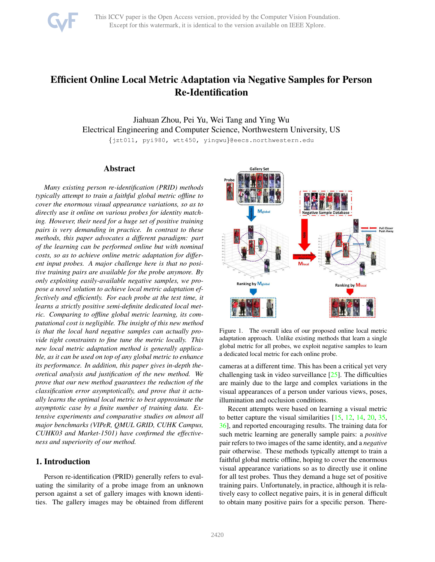

# <span id="page-0-1"></span>Efficient Online Local Metric Adaptation via Negative Samples for Person Re-Identification

Jiahuan Zhou, Pei Yu, Wei Tang and Ying Wu Electrical Engineering and Computer Science, Northwestern University, US {jzt011, pyi980, wtt450, yingwu}@eecs.northwestern.edu

## Abstract

*Many existing person re-identification (PRID) methods typically attempt to train a faithful global metric offline to cover the enormous visual appearance variations, so as to directly use it online on various probes for identity matching. However, their need for a huge set of positive training pairs is very demanding in practice. In contrast to these methods, this paper advocates a different paradigm: part of the learning can be performed online but with nominal costs, so as to achieve online metric adaptation for different input probes. A major challenge here is that no positive training pairs are available for the probe anymore. By only exploiting easily-available negative samples, we propose a novel solution to achieve local metric adaptation effectively and efficiently. For each probe at the test time, it learns a strictly positive semi-definite dedicated local metric. Comparing to offline global metric learning, its computational cost is negligible. The insight of this new method is that the local hard negative samples can actually provide tight constraints to fine tune the metric locally. This new local metric adaptation method is generally applicable, as it can be used on top of any global metric to enhance its performance. In addition, this paper gives in-depth theoretical analysis and justification of the new method. We prove that our new method guarantees the reduction of the classification error asymptotically, and prove that it actually learns the optimal local metric to best approximate the asymptotic case by a finite number of training data. Extensive experiments and comparative studies on almost all major benchmarks (VIPeR, QMUL GRID, CUHK Campus, CUHK03 and Market-1501) have confirmed the effectiveness and superiority of our method.*

## 1. Introduction

Person re-identification (PRID) generally refers to evaluating the similarity of a probe image from an unknown person against a set of gallery images with known identities. The gallery images may be obtained from different



<span id="page-0-0"></span>Figure 1. The overall idea of our proposed online local metric adaptation approach. Unlike existing methods that learn a single global metric for all probes, we exploit negative samples to learn a dedicated local metric for each online probe.

cameras at a different time. This has been a critical yet very challenging task in video surveillance  $[25]$ . The difficulties are mainly due to the large and complex variations in the visual appearances of a person under various views, poses, illumination and occlusion conditions.

Recent attempts were based on learning a visual metric to better capture the visual similarities [\[15,](#page-8-1) [12,](#page-8-2) [14,](#page-8-3) [20,](#page-8-4) [35,](#page-8-5) [36\]](#page-8-6), and reported encouraging results. The training data for such metric learning are generally sample pairs: a *positive* pair refers to two images of the same identity, and a *negative* pair otherwise. These methods typically attempt to train a faithful global metric offline, hoping to cover the enormous visual appearance variations so as to directly use it online for all test probes. Thus they demand a huge set of positive training pairs. Unfortunately, in practice, although it is relatively easy to collect negative pairs, it is in general difficult to obtain many positive pairs for a specific person. There-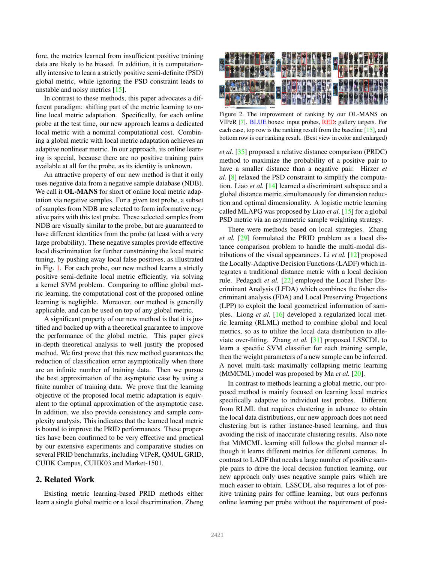<span id="page-1-1"></span>fore, the metrics learned from insufficient positive training data are likely to be biased. In addition, it is computationally intensive to learn a strictly positive semi-definite (PSD) global metric, while ignoring the PSD constraint leads to unstable and noisy metrics [\[15\]](#page-8-1).

In contrast to these methods, this paper advocates a different paradigm: shifting part of the metric learning to online local metric adaptation. Specifically, for each online probe at the test time, our new approach learns a dedicated local metric with a nominal computational cost. Combining a global metric with local metric adaptation achieves an adaptive nonlinear metric. In our approach, its online learning is special, because there are no positive training pairs available at all for the probe, as its identity is unknown.

An attractive property of our new method is that it only uses negative data from a negative sample database (NDB). We call it **OL-MANS** for short of online local metric adaptation via negative samples. For a given test probe, a subset of samples from NDB are selected to form informative negative pairs with this test probe. These selected samples from NDB are visually similar to the probe, but are guaranteed to have different identities from the probe (at least with a very large probability). These negative samples provide effective local discrimination for further constraining the local metric tuning, by pushing away local false positives, as illustrated in Fig. [1.](#page-0-0) For each probe, our new method learns a strictly positive semi-definite local metric efficiently, via solving a kernel SVM problem. Comparing to offline global metric learning, the computational cost of the proposed online learning is negligible. Moreover, our method is generally applicable, and can be used on top of any global metric.

A significant property of our new method is that it is justified and backed up with a theoretical guarantee to improve the performance of the global metric. This paper gives in-depth theoretical analysis to well justify the proposed method. We first prove that this new method guarantees the reduction of classification error asymptotically when there are an infinite number of training data. Then we pursue the best approximation of the asymptotic case by using a finite number of training data. We prove that the learning objective of the proposed local metric adaptation is equivalent to the optimal approximation of the asymptotic case. In addition, we also provide consistency and sample complexity analysis. This indicates that the learned local metric is bound to improve the PRID performances. These properties have been confirmed to be very effective and practical by our extensive experiments and comparative studies on several PRID benchmarks, including VIPeR, QMUL GRID, CUHK Campus, CUHK03 and Market-1501.

## 2. Related Work

Existing metric learning-based PRID methods either learn a single global metric or a local discrimination. Zheng



<span id="page-1-0"></span>Figure 2. The improvement of ranking by our OL-MANS on VIPeR [\[7\]](#page-8-7). BLUE boxes: input probes, RED: gallery targets. For each case, top row is the ranking result from the baseline [\[15\]](#page-8-1), and bottom row is our ranking result. (Best view in color and enlarged)

*et al.* [\[35\]](#page-8-5) proposed a relative distance comparison (PRDC) method to maximize the probability of a positive pair to have a smaller distance than a negative pair. Hirzer *et al.* [\[8\]](#page-8-8) relaxed the PSD constraint to simplify the computation. Liao *et al.* [\[14\]](#page-8-3) learned a discriminant subspace and a global distance metric simultaneously for dimension reduction and optimal dimensionality. A logistic metric learning called MLAPG was proposed by Liao *et al.* [\[15\]](#page-8-1) for a global PSD metric via an asymmetric sample weighting strategy.

There were methods based on local strategies. Zhang *et al.* [\[29\]](#page-8-9) formulated the PRID problem as a local distance comparison problem to handle the multi-modal distributions of the visual appearances. Li *et al.* [\[12\]](#page-8-2) proposed the Locally-Adaptive Decision Functions (LADF) which integrates a traditional distance metric with a local decision rule. Pedagadi *et al.* [\[22\]](#page-8-10) employed the Local Fisher Discriminant Analysis (LFDA) which combines the fisher discriminant analysis (FDA) and Local Preserving Projections (LPP) to exploit the local geometrical information of samples. Liong *et al.* [\[16\]](#page-8-11) developed a regularized local metric learning (RLML) method to combine global and local metrics, so as to utilize the local data distribution to alleviate over-fitting. Zhang *et al.* [\[31\]](#page-8-12) proposed LSSCDL to learn a specific SVM classifier for each training sample, then the weight parameters of a new sample can be inferred. A novel multi-task maximally collapsing metric learning (MtMCML) model was proposed by Ma *et al.* [\[20\]](#page-8-4).

In contrast to methods learning a global metric, our proposed method is mainly focused on learning local metrics specifically adaptive to individual test probes. Different from RLML that requires clustering in advance to obtain the local data distributions, our new approach does not need clustering but is rather instance-based learning, and thus avoiding the risk of inaccurate clustering results. Also note that MtMCML learning still follows the global manner although it learns different metrics for different cameras. In contrast to LADF that needs a large number of positive sample pairs to drive the local decision function learning, our new approach only uses negative sample pairs which are much easier to obtain. LSSCDL also requires a lot of positive training pairs for offline learning, but ours performs online learning per probe without the requirement of posi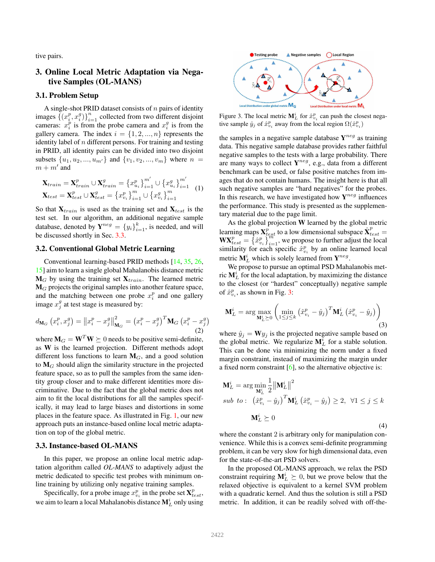<span id="page-2-3"></span>tive pairs.

## 3. Online Local Metric Adaptation via Negative Samples (OL-MANS)

### 3.1. Problem Setup

A single-shot PRID dataset consists of  $n$  pairs of identity images  $\{(x_i^p, x_i^g)\}_{i=1}^n$  collected from two different disjoint cameras:  $x_i^p$  is from the probe camera and  $x_i^g$  is from the gallery camera. The index  $i = \{1, 2, ..., n\}$  represents the identity label of  $n$  different persons. For training and testing in PRID, all identity pairs can be divided into two disjoint subsets  $\{u_1, u_2, ..., u_{m'}\}$  and  $\{v_1, v_2, ..., v_m\}$  where  $n =$  $m + m'$  and

$$
\mathbf{X}_{train} = \mathbf{X}_{train}^p \cup \mathbf{X}_{train}^g = \{x_{u_i}^p\}_{i=1}^{m'} \cup \{x_{u_i}^g\}_{i=1}^{m'}
$$
\n
$$
\mathbf{X}_{test} = \mathbf{X}_{test}^p \cup \mathbf{X}_{test}^g = \{x_{v_i}^p\}_{i=1}^{m} \cup \{x_{v_i}^g\}_{i=1}^{m}
$$
\n(1)

So that  $X_{train}$  is used as the training set and  $X_{test}$  is the test set. In our algorithm, an additional negative sample database, denoted by  $Y^{neg} = \{y_i\}_{i=1}^k$ , is needed, and will be discussed shortly in Sec. [3.3.](#page-2-0)

#### 3.2. Conventional Global Metric Learning

Conventional learning-based PRID methods [\[14,](#page-8-3) [35,](#page-8-5) [26,](#page-8-13) [15\]](#page-8-1) aim to learn a single global Mahalanobis distance metric  $M_G$  by using the training set  $X_{train}$ . The learned metric  $M_G$  projects the original samples into another feature space, and the matching between one probe  $x_i^p$  and one gallery image  $x_j^g$  at test stage is measured by:

$$
d_{\mathbf{M}_G} (x_i^p, x_j^g) = ||x_i^p - x_j^g||_{\mathbf{M}_G}^2 = (x_i^p - x_j^g)^T \mathbf{M}_G (x_i^p - x_j^g)
$$
\n(2)

where  $M_G = W^T W \succeq 0$  needs to be positive semi-definite, as W is the learned projection. Different methods adopt different loss functions to learn  $M_G$ , and a good solution to  $M_G$  should align the similarity structure in the projected feature space, so as to pull the samples from the same identity group closer and to make different identities more discriminative. Due to the fact that the global metric does not aim to fit the local distributions for all the samples specifically, it may lead to large biases and distortions in some places in the feature space. As illustrated in Fig. [1,](#page-0-0) our new approach puts an instance-based online local metric adaptation on top of the global metric.

#### <span id="page-2-0"></span>3.3. Instance-based OL-MANS

In this paper, we propose an online local metric adaptation algorithm called *OL-MANS* to adaptively adjust the metric dedicated to specific test probes with minimum online training by utilizing only negative training samples.

Specifically, for a probe image  $x_{v_i}^p$  in the probe set  $\mathbf{X}_{test}^p$ , we aim to learn a local Mahalanobis distance  $\mathbf{M}_{L}^{i}$  only using



<span id="page-2-1"></span>Figure 3. The local metric  $M_L^i$  for  $\hat{x}_{v_i}^p$  can push the closest negative sample  $\hat{y}_j$  of  $\hat{x}_{v_i}^p$  away from the local region  $\Omega(\hat{x}_{v_i}^p)$ 

the samples in a negative sample database  $Y^{neg}$  as training data. This negative sample database provides rather faithful negative samples to the tests with a large probability. There are many ways to collect  $Y^{neg}$ , e.g., data from a different benchmark can be used, or false positive matches from images that do not contain humans. The insight here is that all such negative samples are "hard negatives" for the probes. In this research, we have investigated how  $Y^{neg}$  influences the performance. This study is presented as the supplementary material due to the page limit.

As the global projection W learned by the global metric learning maps  $X_{test}^p$  to a low dimensional subspace  $\hat{X}_{test}^p =$  $\mathbf{W} \mathbf{X}_{test}^p = \left\{ \hat{x}_{v_i}^p \right\}_{i=1}^{reg}$ , we propose to further adjust the local similarity for each specific  $\hat{x}_{v_i}^p$  by an online learned local metric  $\mathbf{M}_{L}^{i}$  which is solely learned from  $\mathbf{Y}^{neg}$ .

We propose to pursue an optimal PSD Mahalanobis metric  $M_L^i$  for the local adaptation, by maximizing the distance to the closest (or "hardest" conceptually) negative sample of  $\hat{x}_{v_i}^p$ , as shown in Fig. [3:](#page-2-1)

$$
\mathbf{M}_{L}^{i} = \arg \max_{\mathbf{M}_{L}^{i} \succeq 0} \left( \min_{1 \leq j \leq k} \left( \hat{x}_{v_{i}}^{p} - \hat{y}_{j} \right)^{T} \mathbf{M}_{L}^{i} \left( \hat{x}_{v_{i}}^{p} - \hat{y}_{j} \right) \right)
$$
\n(3)

where  $\hat{y}_j = \mathbf{W} y_j$  is the projected negative sample based on the global metric. We regularize  $M_L^i$  for a stable solution. This can be done via minimizing the norm under a fixed margin constraint, instead of maximizing the margin under a fixed norm constraint  $[6]$ , so the alternative objective is:

<span id="page-2-2"></span>
$$
\mathbf{M}_{L}^{i} = \arg\min_{\mathbf{M}_{L}^{i}} \frac{1}{2} \left\| \mathbf{M}_{L}^{i} \right\|^{2}
$$
  
\n
$$
sub \ to: \ \left( \hat{x}_{v_{i}}^{p} - \hat{y}_{j} \right)^{T} \mathbf{M}_{L}^{i} \left( \hat{x}_{v_{i}}^{p} - \hat{y}_{j} \right) \geq 2, \ \forall 1 \leq j \leq k
$$
  
\n
$$
\mathbf{M}_{L}^{i} \geq 0
$$
\n(4)

where the constant 2 is arbitrary only for manipulation convenience. While this is a convex semi-definite programming problem, it can be very slow for high dimensional data, even for the state-of-the-art PSD solvers.

In the proposed OL-MANS approach, we relax the PSD constraint requiring  $M_L^i \succeq 0$ , but we prove below that the relaxed objective is equivalent to a kernel SVM problem with a quadratic kernel. And thus the solution is still a PSD metric. In addition, it can be readily solved with off-the-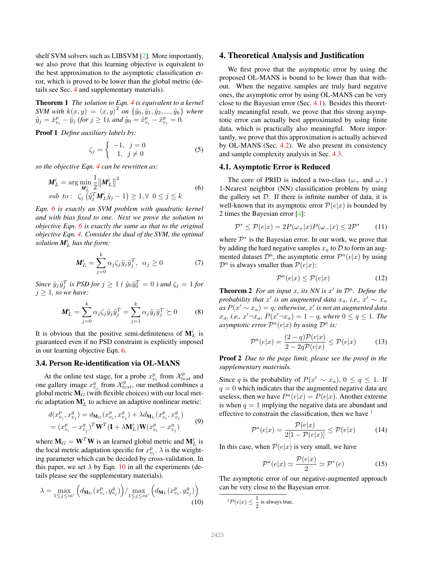<span id="page-3-6"></span>shelf SVM solvers such as LIBSVM [\[2\]](#page-8-15). More importantly, we also prove that this learning objective is equivalent to the best approximation to the asymptotic classification error, which is proved to be lower than the global metric (details see Sec. [4](#page-3-0) and supplementary materials).

Theorem 1 *The solution to Eqn. [4](#page-2-2) is equivalent to a kernel SVM with*  $k(x, y) = (x, y)^2$  *on*  ${\tilde{y_0}, \tilde{y_1}, \tilde{y_2}, ..., \tilde{y_k}}$  *where*  $\tilde{y}_j = \hat{x}_{v_i}^p - \hat{y}_j \text{ (for } j \ge 1\text{), and } \tilde{y}_0 = \hat{x}_{v_i}^p - \hat{x}_{v_i}^p = 0.$ 

Proof 1 *Define auxiliary labels by:*

$$
\zeta_j = \begin{cases}\n-1, & j = 0 \\
1, & j \neq 0\n\end{cases}
$$
\n(5)

*so the objective Eqn. [4](#page-2-2) can be rewritten as:*

<span id="page-3-1"></span>
$$
\mathbf{M}_{L}^{i} = \arg\min_{\mathbf{M}_{L}^{i}} \frac{1}{2} ||\mathbf{M}_{L}^{i}||^{2}
$$
  
\n*sub to*:  $\zeta_{j} \left( \tilde{y}_{j}^{T} \mathbf{M}_{L}^{i} \tilde{y}_{j} - 1 \right) \geq 1, \forall \ 0 \leq j \leq k$  (6)

*Eqn. [6](#page-3-1) is exactly an SVM problem with quadratic kernel and with bias fixed to one. Next we prove the solution to objective Eqn. [6](#page-3-1) is exactly the same as that to the original objective Eqn. [4.](#page-2-2) Consider the dual of the SVM, the optimal solution*  $M_L^i$  has the form:

$$
\boldsymbol{M}_{L}^{i} = \sum_{j=0}^{k} \alpha_{j} \zeta_{j} \tilde{y}_{j} \tilde{y}_{j}^{T}, \ \alpha_{j} \ge 0 \tag{7}
$$

Since  $\tilde{y}_j \tilde{y}_j^T$  is PSD for  $j \geq 1$  (  $\tilde{y}_0 \tilde{y}_0^T = 0$  ) and  $\zeta_j = 1$  for  $j \geq 1$ *, so we have:* 

$$
\mathbf{M}_{L}^{i} = \sum_{j=0}^{k} \alpha_{j} \zeta_{j} \tilde{y}_{j} \tilde{y}_{j}^{T} = \sum_{j=1}^{k} \alpha_{j} \tilde{y}_{j} \tilde{y}_{j}^{T} \succeq 0 \quad (8)
$$

It is obvious that the positive semi-definiteness of  $M_L^i$  is guaranteed even if no PSD constraint is explicitly imposed in our learning objective Eqn. [6.](#page-3-1)

#### 3.4. Person Re-identification via OL-MANS

At the online test stage, for a probe  $x_{v_i}^p$  from  $\mathcal{X}_{test}^p$  and one gallery image  $x_{v_j}^g$  from  $\mathcal{X}_{test}^g$ , our method combines a global metric  $M_G$  (with flexible choices) with our local metric adaptation  $M_L^i$  to achieve an adaptive nonlinear metric:

$$
d(x_{v_i}^p, x_{v_j}^q) = d_{\mathbf{M}_G}(x_{v_i}^p, x_{v_j}^q) + \lambda d_{\mathbf{M}_L}(x_{v_i}^p, x_{v_j}^q)
$$
  
=  $(x_{v_i}^p - x_{v_j}^q)^T \mathbf{W}^T (\mathbf{I} + \lambda \mathbf{M}_L^i) \mathbf{W}(x_{v_i}^p - x_{v_j}^q)$  (9)

where  $M_G = W^T W$  is an learned global metric and  $M_L^i$  is the local metric adaptation specific for  $x_{v_i}^p$ .  $\lambda$  is the weighting parameter which can be decided by cross-validation. In this paper, we set  $\lambda$  by Eqn. [10](#page-3-2) in all the experiments (details please see the supplementary materials).

<span id="page-3-2"></span>
$$
\lambda = \max_{1 \leq j \leq m'} \left( d_{\mathbf{M}_G}(x_{v_i}^p, y_{v_j}^g) \right) / \max_{1 \leq j \leq m'} \left( d_{\mathbf{M}_L}(x_{v_i}^p, y_{v_j}^g) \right)
$$
(10)

#### <span id="page-3-0"></span>4. Theoretical Analysis and Justification

We first prove that the asymptotic error by using the proposed OL-MANS is bound to be lower than that without. When the negative samples are truly hard negative ones, the asymptotic error by using OL-MANS can be very close to the Bayesian error (Sec. [4.1\)](#page-3-3). Besides this theoretically meaningful result, we prove that this strong asymptotic error can actually best approximated by using finite data, which is practically also meaningful. More importantly, we prove that this approximation is actually achieved by OL-MANS (Sec. [4.2\)](#page-4-0). We also present its consistency and sample complexity analysis in Sec. [4.3.](#page-4-1)

#### <span id="page-3-3"></span>4.1. Asymptotic Error is Reduced

The core of PRID is indeed a two-class ( $\omega_+$  and  $\omega_-$ ) 1-Nearest neighbor (NN) classification problem by using the gallery set  $D$ . If there is infinite number of data, it is well-known that its asymptotic error  $\mathcal{P}(e|x)$  is bounded by 2 times the Bayesian error [\[4\]](#page-8-16):

$$
\mathcal{P}^* \le \mathcal{P}(e|x) = 2P(\omega_+|x)P(\omega_-|x) \le 2\mathcal{P}^* \tag{11}
$$

where  $\mathcal{P}^*$  is the Bayesian error. In our work, we prove that by adding the hard negative samples  $x_a$  to  $D$  to form an augmented dataset  $\mathcal{D}^a$ , the asymptotic error  $\mathcal{P}^a(e|x)$  by using  $\mathcal{D}^a$  is always smaller than  $\mathcal{P}(e|x)$ :

$$
\mathcal{P}^a(e|x) \le \mathcal{P}(e|x) \tag{12}
$$

**Theorem 2** For an input x, its NN is  $x'$  in  $\mathcal{D}^a$ . Define the *probability that*  $x'$  *is an augmented data*  $x_a$ *, i.e.,*  $x' \sim x_a$ as  $P(x' \sim x_a) = q$ ; otherwise,  $x'$  is not an augmented data  $x_a$ , *i.e.*,  $x' \neg x_a$ ,  $P(x' \neg x_a) = 1 - q$ , where  $0 \le q \le 1$ . The asymptotic error  $\mathcal{P}^{a}(e|x)$  by using  $\mathcal{D}^{a}$  is:

<span id="page-3-5"></span>
$$
\mathcal{P}^a(e|x) = \frac{(2-q)\mathcal{P}(e|x)}{2 - 2q\mathcal{P}(e|x)} \le \mathcal{P}(e|x) \tag{13}
$$

Proof 2 *Due to the page limit, please see the proof in the supplementary materials.*

Since q is the probability of  $P(x' \sim x_a)$ ,  $0 \le q \le 1$ . If  $q = 0$  which indicates that the augmented negative data are useless, then we have  $P^a(e|x) = P(e|x)$ . Another extreme is when  $q = 1$  implying the negative data are abundant and effective to constrain the classification, then we have  $<sup>1</sup>$  $<sup>1</sup>$  $<sup>1</sup>$ </sup>

$$
\mathcal{P}^{a}(e|x) = \frac{\mathcal{P}(e|x)}{2[1 - \mathcal{P}(e|x)]} \le \mathcal{P}(e|x) \tag{14}
$$

In this case, when  $\mathcal{P}(e|x)$  is very small, we have

$$
\mathcal{P}^{a}(e|x) \simeq \frac{\mathcal{P}(e|x)}{2} \simeq \mathcal{P}^{*}(e) \tag{15}
$$

The asymptotic error of our negative-augmented approach can be very close to the Bayesian error.

<span id="page-3-4"></span>
$$
{}^{1}\mathcal{P}(e|x) \leq \frac{1}{2}
$$
 is always true.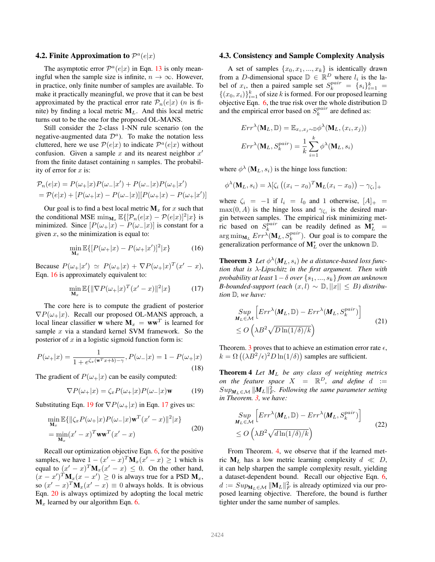## <span id="page-4-0"></span>4.2. Finite Approximation to  $\mathcal{P}^{a}(e|x)$

The asymptotic error  $\mathcal{P}^{a}(e|x)$  in Eqn. [13](#page-3-5) is only meaningful when the sample size is infinite,  $n \to \infty$ . However, in practice, only finite number of samples are available. To make it practically meaningful, we prove that it can be best approximated by the practical error rate  $\mathcal{P}_n(e|x)$  (*n* is finite) by finding a local metric  $M<sub>L</sub>$ . And this local metric turns out to be the one for the proposed OL-MANS.

Still consider the 2-class 1-NN rule scenario (on the negative-augmented data  $\mathcal{D}^a$ ). To make the notation less cluttered, here we use  $\mathcal{P}(e|x)$  to indicate  $\mathcal{P}^{a}(e|x)$  without confusion. Given a sample  $x$  and its nearest neighbor  $x'$ from the finite dataset containing  $n$  samples. The probability of error for  $x$  is:

$$
\mathcal{P}_n(e|x) = P(\omega_+|x)P(\omega_-|x') + P(\omega_-|x)P(\omega_+|x')
$$
  
=  $\mathcal{P}(e|x) + [P(\omega_+|x) - P(\omega_-|x)][P(\omega_+|x) - P(\omega_+|x')]$ 

Our goal is to find a best local metric  $M_x$  for x such that the conditional MSE  $\min_{\mathbf{M}_x} \mathbb{E}\{[\mathcal{P}_n(e|x) - \mathcal{P}(e|x)]^2|x\}$  is minimized. Since  $[P(\omega_{+}|x) - P(\omega_{-}|x)]$  is constant for a given  $x$ , so the minimization is equal to:

<span id="page-4-2"></span>
$$
\min_{\mathbf{M}_x} \mathbb{E}\{ [P(\omega_+|x) - P(\omega_+|x')]^2|x\} \tag{16}
$$

Because  $P(\omega_+|x') \simeq P(\omega_+|x) + \nabla P(\omega_+|x)^T(x'-x)$ , Eqn. [16](#page-4-2) is approximately equivalent to:

<span id="page-4-4"></span>
$$
\min_{\mathbf{M}_x} \mathbb{E}\{\|\nabla P(\omega_+|x)^T(x'-x)\|^2|x\} \tag{17}
$$

The core here is to compute the gradient of posterior  $\nabla P(\omega_{+}|x)$ . Recall our proposed OL-MANS approach, a local linear classifier **w** where  $M_x = ww^T$  is learned for sample  $x$  via a standard kernel SVM framework. So the posterior of  $x$  in a logistic sigmoid function form is:

$$
P(\omega_{+}|x) = \frac{1}{1 + e^{\zeta_x(\mathbf{w}^T x + b) - \gamma}}, P(\omega_{-}|x) = 1 - P(\omega_{+}|x)
$$
\n(18)

The gradient of  $P(\omega_{+}|x)$  can be easily computed:

<span id="page-4-3"></span>
$$
\nabla P(\omega_+|x) = \zeta_x P(\omega_+|x) P(\omega_-|x) \mathbf{w} \tag{19}
$$

Substituting Eqn. [19](#page-4-3) for  $\nabla P(\omega_+|x)$  in Eqn. [17](#page-4-4) gives us:

<span id="page-4-5"></span>
$$
\min_{\mathbf{M}_x} \mathbb{E}\{ \|\zeta_x P(\omega_+|x) P(\omega_-|x) \mathbf{w}^T(x'-x) \|^2 |x \}
$$
  
= 
$$
\min_{\mathbf{M}_x} (x'-x)^T \mathbf{w} \mathbf{w}^T(x'-x)
$$
 (20)

Recall our optimization objective Eqn. [6,](#page-3-1) for the positive samples, we have  $1 - (x' - x)^T \mathbf{M}_x(x' - x) \ge 1$  which is equal to  $(x'-x)^T M_x(x'-x) \leq 0$ . On the other hand,  $(x - x')^T M_x(x - x') \ge 0$  is always true for a PSD  $M_x$ , so  $(x'-x)^T M_x(x'-x) \equiv 0$  always holds. It is obvious Eqn. [20](#page-4-5) is always optimized by adopting the local metric  $M_x$  learned by our algorithm Eqn. [6.](#page-3-1)

#### <span id="page-4-1"></span>4.3. Consistency and Sample Complexity Analysis

A set of samples  $\{x_0, x_1, ..., x_k\}$  is identically drawn from a D-dimensional space  $\mathbb{D} \in \mathbb{R}^D$  where  $l_i$  is the label of  $x_i$ , then a paired sample set  $S_k^{pair} = \{s_i\}_{i=1}^k =$  $\{(x_0, x_i)\}_{i=1}^k$  of size k is formed. For our proposed learning objective Eqn. [6,](#page-3-1) the true risk over the whole distribution  $D$ and the empirical error based on  $S_k^{pair}$  are defined as:

$$
Err^{\lambda}(\mathbf{M}_L, \mathbb{D}) = \mathbb{E}_{x_i, x_j \sim \mathbb{D}} \phi^{\lambda}(\mathbf{M}_L, (x_i, x_j))
$$

$$
Err^{\lambda}(\mathbf{M}_L, S_k^{pair}) = \frac{1}{k} \sum_{i=1}^{k} \phi^{\lambda}(\mathbf{M}_L, s_i)
$$

where  $\phi^{\lambda}(\mathbf{M}_L, s_i)$  is the hinge loss function:

$$
\phi^{\lambda}(\mathbf{M}_{L}, s_{i}) = \lambda [\zeta_{i} ((x_{i} - x_{0})^{T} \mathbf{M}_{L}(x_{i} - x_{0})) - \gamma \zeta_{i}]_{+}
$$

where  $\zeta_i = -1$  if  $l_i = l_0$  and 1 otherwise,  $[A]_+ =$  $\max(0, A)$  is the hinge loss and  $\gamma_{\zeta_i}$  is the desired margin between samples. The empirical risk minimizing metric based on  $S_k^{\hat{p}air}$  can be readily defined as  $\mathbf{M}_L^*$  =  $\arg \min_{\mathbf{M}_L} Err^{\lambda}(\mathbf{M}_L, S_k^{pair})$ . Our goal is to compare the generalization performance of  $M_L^*$  over the unknown  $\mathbb D$ .

<span id="page-4-6"></span>**Theorem 3** Let  $\phi^{\lambda}(\mathbf{M}_L, s_i)$  be a distance-based loss func*tion that is* λ*-Lipschitz in the first argument. Then with probability at least* 1−δ *over* {s1, ..., sk} *from an unknown B-bounded-support (each*  $(x, l) \sim \mathbb{D}, ||x|| \leq B$ ) distribu*tion* D*, we have:*

$$
\begin{aligned}\n\sup_{\mathbf{M}_L \in \mathcal{M}} \left[ \operatorname{Err}^{\lambda}(\mathbf{M}_L, \mathbb{D}) - \operatorname{Err}^{\lambda}(\mathbf{M}_L, S_k^{pair}) \right] \\
&\le O\left( \lambda B^2 \sqrt{D \ln(1/\delta)/k} \right)\n\end{aligned} \tag{21}
$$

Theorem. [3](#page-4-6) proves that to achieve an estimation error rate  $\epsilon$ ,  $k = \Omega\left((\lambda B^2/\epsilon)^2 D \ln(1/\delta)\right)$  samples are sufficient.

<span id="page-4-7"></span>Theorem 4 *Let M*<sup>L</sup> *be any class of weighting metrics on the feature space*  $X = \mathbb{R}^D$ , and define  $d :=$  $Sup_{\textbf{M}_L \in \mathcal{M}} \|\textbf{M}_L\|_F^2$ . Following the same parameter setting *in Theorem. [3,](#page-4-6) we have:*

$$
\begin{aligned}\n\sup_{\mathbf{M}_L \in \mathcal{M}} \left[ \operatorname{Err}^{\lambda}(\mathbf{M}_L, \mathbb{D}) - \operatorname{Err}^{\lambda}(\mathbf{M}_L, S_k^{pair}) \right] \\
&\le O\left( \lambda B^2 \sqrt{d \ln(1/\delta)/k} \right)\n\end{aligned} \tag{22}
$$

From Theorem. [4,](#page-4-7) we observe that if the learned metric  $M_L$  has a low metric learning complexity  $d \ll D$ , it can help sharpen the sample complexity result, yielding a dataset-dependent bound. Recall our objective Eqn. [6,](#page-3-1)  $d := Sup_{\mathbf{M}_L \in \mathcal{M}} \|\mathbf{M}_L\|_F^2$  is already optimized via our proposed learning objective. Therefore, the bound is further tighter under the same number of samples.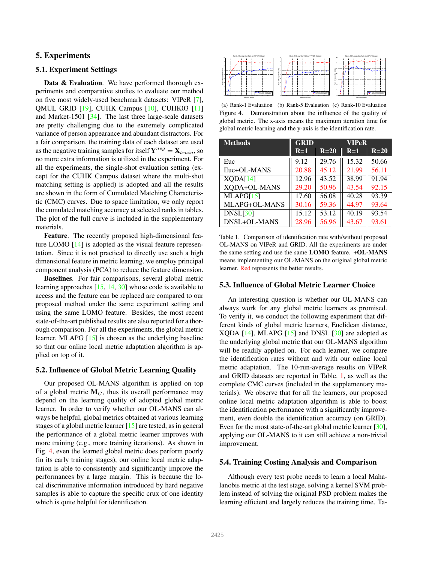## <span id="page-5-2"></span>5. Experiments

## 5.1. Experiment Settings

Data & Evaluation. We have performed thorough experiments and comparative studies to evaluate our method on five most widely-used benchmark datasets: VIPeR [\[7\]](#page-8-7), QMUL GRID [\[19\]](#page-8-17), CUHK Campus [\[10\]](#page-8-18), CUHK03 [\[11\]](#page-8-19) and Market-1501 [\[34\]](#page-8-20). The last three large-scale datasets are pretty challenging due to the extremely complicated variance of person appearance and abundant distractors. For a fair comparison, the training data of each dataset are used as the negative training samples for itself  $Y^{neg} = X_{train}$ , so no more extra information is utilized in the experiment. For all the experiments, the single-shot evaluation setting (except for the CUHK Campus dataset where the multi-shot matching setting is applied) is adopted and all the results are shown in the form of Cumulated Matching Characteristic (CMC) curves. Due to space limitation, we only report the cumulated matching accuracy at selected ranks in tables. The plot of the full curve is included in the supplementary materials.

Feature. The recently proposed high-dimensional feature LOMO [\[14\]](#page-8-3) is adopted as the visual feature representation. Since it is not practical to directly use such a high dimensional feature in metric learning, we employ principal component analysis (PCA) to reduce the feature dimension.

Baselines. For fair comparisons, several global metric learning approaches [\[15,](#page-8-1) [14,](#page-8-3) [30\]](#page-8-21) whose code is available to access and the feature can be replaced are compared to our proposed method under the same experiment setting and using the same LOMO feature. Besides, the most recent state-of-the-art published results are also reported for a thorough comparison. For all the experiments, the global metric learner, MLAPG [\[15\]](#page-8-1) is chosen as the underlying baseline so that our online local metric adaptation algorithm is applied on top of it.

#### 5.2. Influence of Global Metric Learning Quality

Our proposed OL-MANS algorithm is applied on top of a global metric  $M_G$ , thus its overall performance may depend on the learning quality of adopted global metric learner. In order to verify whether our OL-MANS can always be helpful, global metrics obtained at various learning stages of a global metric learner [\[15\]](#page-8-1) are tested, as in general the performance of a global metric learner improves with more training (e.g., more training iterations). As shown in Fig. [4,](#page-5-0) even the learned global metric does perform poorly (in its early training stages), our online local metric adaptation is able to consistently and significantly improve the performances by a large margin. This is because the local discriminative information introduced by hard negative samples is able to capture the specific crux of one identity which is quite helpful for identification.



<span id="page-5-0"></span>(a) Rank-1 Evaluation (b) Rank-5 Evaluation (c) Rank-10 Evaluation Figure 4. Demonstration about the influence of the quality of global metric. The x-axis means the maximum iteration time for global metric learning and the y-axis is the identification rate.

| <b>Methods</b> | <b>GRID</b> |        | <b>VIPeR</b> |        |
|----------------|-------------|--------|--------------|--------|
|                | $R=1$       | $R=20$ | $R=1$        | $R=20$ |
| Euc            | 9.12        | 29.76  | 15.32        | 50.66  |
| Euc+OL-MANS    | 20.88       | 45.12  | 21.99        | 56.11  |
| XODA[14]       | 12.96       | 43.52  | 38.99        | 91.94  |
| XQDA+OL-MANS   | 29.20       | 50.96  | 43.54        | 92.15  |
| MLAPG[15]      | 17.60       | 56.08  | 40.28        | 93.39  |
| MLAPG+OL-MANS  | 30.16       | 59.36  | 44.97        | 93.64  |
| DNSL[30]       | 15.12       | 53.12  | 40.19        | 93.54  |
| DNSL+OL-MANS   | 28.96       | 56.96  | 43.67        | 93.61  |

<span id="page-5-1"></span>Table 1. Comparison of identification rate with/without proposed OL-MANS on VIPeR and GRID. All the experiments are under the same setting and use the same LOMO feature. +OL-MANS means implementing our OL-MANS on the original global metric learner. Red represents the better results.

#### 5.3. Influence of Global Metric Learner Choice

An interesting question is whether our OL-MANS can always work for any global metric learners as promised. To verify it, we conduct the following experiment that different kinds of global metric learners, Euclidean distance,  $XQDA$  [\[14\]](#page-8-3), MLAPG [\[15\]](#page-8-1) and DNSL [\[30\]](#page-8-21) are adopted as the underlying global metric that our OL-MANS algorithm will be readily applied on. For each learner, we compare the identification rates without and with our online local metric adaptation. The 10-run-average results on VIPeR and GRID datasets are reported in Table. [1,](#page-5-1) as well as the complete CMC curves (included in the supplementary materials). We observe that for all the learners, our proposed online local metric adaptation algorithm is able to boost the identification performance with a significantly improvement, even double the identification accuracy (on GRID). Even for the most state-of-the-art global metric learner [\[30\]](#page-8-21), applying our OL-MANS to it can still achieve a non-trivial improvement.

#### 5.4. Training Costing Analysis and Comparison

Although every test probe needs to learn a local Mahalanobis metric at the test stage, solving a kernel SVM problem instead of solving the original PSD problem makes the learning efficient and largely reduces the training time. Ta-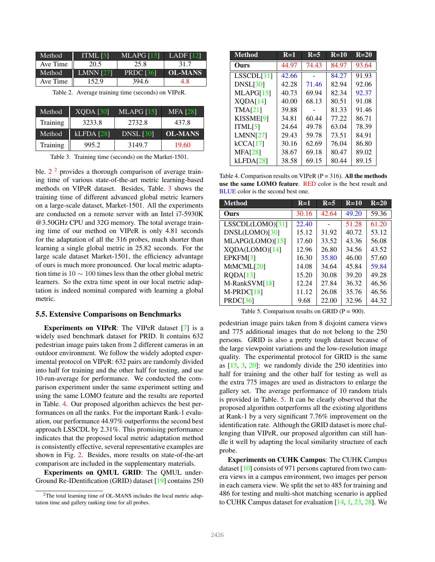<span id="page-6-5"></span>

| Method   | $ITML$ [5] | $MLAPG$ [15]     | LADF $[12]$    |
|----------|------------|------------------|----------------|
| Ave Time | 20.5       | 25.8             | 31.7           |
| Method   | LMNN [27]  | <b>PRDC</b> [36] | <b>OL-MANS</b> |
| Ave Time | 152.9      | 394.6            | 4.8            |

<span id="page-6-0"></span>Table 2. Average training time (seconds) on VIPeR.

| Method   | $XQDA$ [30]  | $MLAPG$ [15]     | <b>MFA</b> [28] |
|----------|--------------|------------------|-----------------|
| Training | 3233.8       | 2732.8           | 437.8           |
| Method   | $kLFDA$ [28] | <b>DNSL</b> [30] | <b>OL-MANS</b>  |
| Training | 995.2        | 3149.7           | 19.60           |

<span id="page-6-2"></span>Table 3. Training time (seconds) on the Market-1501.

ble.  $2<sup>2</sup>$  $2<sup>2</sup>$  provides a thorough comparison of average training time of various state-of-the-art metric learning-based methods on VIPeR dataset. Besides, Table. [3](#page-6-2) shows the training time of different advanced global metric learners on a large-scale dataset, Market-1501. All the experiments are conducted on a remote server with an Intel i7-5930K @3.50GHz CPU and 32G memory. The total average training time of our method on VIPeR is only 4.81 seconds for the adaptation of all the 316 probes, much shorter than learning a single global metric in 25.82 seconds. For the large scale dataset Market-1501, the efficiency advantage of ours is much more pronounced. Our local metric adaptation time is  $10 \sim 100$  times less than the other global metric learners. So the extra time spent in our local metric adaptation is indeed nominal compared with learning a global metric.

#### 5.5. Extensive Comparisons on Benchmarks

Experiments on VIPeR: The VIPeR dataset [\[7\]](#page-8-7) is a widely used benchmark dataset for PRID. It contains 632 pedestrian image pairs taken from 2 different cameras in an outdoor environment. We follow the widely adopted experimental protocol on VIPeR: 632 pairs are randomly divided into half for training and the other half for testing, and use 10-run-average for performance. We conducted the comparison experiment under the same experiment setting and using the same LOMO feature and the results are reported in Table. [4.](#page-6-3) Our proposed algorithm achieves the best performances on all the ranks. For the important Rank-1 evaluation, our performance 44.97% outperforms the second best approach LSSCDL by 2.31%. This promising performance indicates that the proposed local metric adaptation method is consistently effective, several representative examples are shown in Fig. [2.](#page-1-0) Besides, more results on state-of-the-art comparison are included in the supplementary materials.

Experiments on QMUL GRID: The QMUL under-Ground Re-IDentification (GRID) dataset [\[19\]](#page-8-17) contains 250

| <b>Method</b>  | $R=1$ | $R=5$ | $R=10$ | $R=20$ |
|----------------|-------|-------|--------|--------|
| Ours           | 44.97 | 74.43 | 84.97  | 93.64  |
| LSSCDL[31]     | 42.66 |       | 84.27  | 91.93  |
| DNSL[30]       | 42.28 | 71.46 | 82.94  | 92.06  |
| MLAPG[15]      | 40.73 | 69.94 | 82.34  | 92.37  |
| XQDA[14]       | 40.00 | 68.13 | 80.51  | 91.08  |
| <b>TMA[21]</b> | 39.88 |       | 81.33  | 91.46  |
| KISSME[9]      | 34.81 | 60.44 | 77.22  | 86.71  |
| ITML[5]        | 24.64 | 49.78 | 63.04  | 78.39  |
| LMNN[27]       | 29.43 | 59.78 | 73.51  | 84.91  |
| kCCA[17]       | 30.16 | 62.69 | 76.04  | 86.80  |
| MFA[28]        | 38.67 | 69.18 | 80.47  | 89.02  |
| kLFDA[28]      | 38.58 | 69.15 | 80.44  | 89.15  |

<span id="page-6-3"></span>Table 4. Comparison results on VIPeR ( $P = 316$ ). All the methods use the same LOMO feature. RED color is the best result and BLUE color is the second best one.

| <b>Method</b>    | $R=1$ | $R=5$ | $R=10$ | $R=20$ |
|------------------|-------|-------|--------|--------|
| Ours             | 30.16 | 42.64 | 49.20  | 59.36  |
| LSSCDL(LOMO)[31] | 22.40 |       | 51.28  | 61.20  |
| DNSL(LOMO)[30]   | 15.12 | 31.92 | 40.72  | 53.12  |
| MLAPG(LOMO)[15]  | 17.60 | 33.52 | 43.36  | 56.08  |
| XQDA(LOMO)[14]   | 12.96 | 26.80 | 34.56  | 43.52  |
| EPKFM[3]         | 16.30 | 35.80 | 46.00  | 57.60  |
| MtMCML[20]       | 14.08 | 34.64 | 45.84  | 59.84  |
| RQDA[13]         | 15.20 | 30.08 | 39.20  | 49.28  |
| M-RankSVM[18]    | 12.24 | 27.84 | 36.32  | 46.56  |
| $M-PROC[18]$     | 11.12 | 26.08 | 35.76  | 46.56  |
| <b>PRDC[36]</b>  | 9.68  | 22.00 | 32.96  | 44.32  |

<span id="page-6-4"></span>Table 5. Comparison results on GRID ( $P = 900$ ).

pedestrian image pairs taken from 8 disjoint camera views and 775 additional images that do not belong to the 250 persons. GRID is also a pretty tough dataset because of the large viewpoint variations and the low-resolution image quality. The experimental protocol for GRID is the same as  $[15, 3, 20]$  $[15, 3, 20]$  $[15, 3, 20]$  $[15, 3, 20]$ : we randomly divide the 250 identities into half for training and the other half for testing as well as the extra 775 images are used as distractors to enlarge the gallery set. The average performance of 10 random trials is provided in Table. [5.](#page-6-4) It can be clearly observed that the proposed algorithm outperforms all the existing algorithms at Rank-1 by a very significant 7.76% improvement on the identification rate. Although the GRID dataset is more challenging than VIPeR, our proposed algorithm can still handle it well by adapting the local similarity structure of each probe.

Experiments on CUHK Campus: The CUHK Campus dataset [\[10\]](#page-8-18) consists of 971 persons captured from two camera views in a campus environment, two images per person in each camera view. We split the set to 485 for training and 486 for testing and multi-shot matching scenario is applied to CUHK Campus dataset for evaluation [\[14,](#page-8-3) [1,](#page-8-31) [23,](#page-8-32) [28\]](#page-8-24). We

<span id="page-6-1"></span><sup>&</sup>lt;sup>2</sup>The total learning time of OL-MANS includes the local metric adaptation time and gallery ranking time for all probes.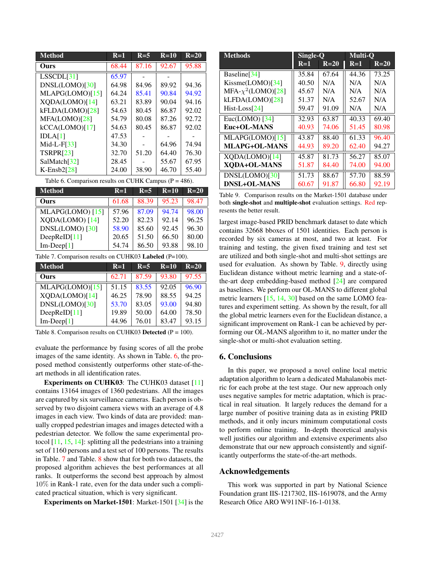<span id="page-7-4"></span>

| <b>Method</b>            | $R=1$ | $R = 5$ | $R=10$ | $R=20$ |
|--------------------------|-------|---------|--------|--------|
| Ours                     | 68.44 | 87.16   | 92.67  | 95.88  |
| LSSCDL[31]               | 65.97 |         |        |        |
| DNSL(LOMO)[30]           | 64.98 | 84.96   | 89.92  | 94.36  |
| MLAPG(LOMO)[15]          | 64.24 | 85.41   | 90.84  | 94.92  |
| XQDA(LOMO)[14]           | 63.21 | 83.89   | 90.04  | 94.16  |
| kFLDA(LOMO)[28]          | 54.63 | 80.45   | 86.87  | 92.02  |
| MFA(LOMO)[28]            | 54.79 | 80.08   | 87.26  | 92.72  |
| kCCA(LOMO)[17]           | 54.63 | 80.45   | 86.87  | 92.02  |
| IDLA[1]                  | 47.53 |         |        |        |
| $Mid-L-F[33]$            | 34.30 |         | 64.96  | 74.94  |
| <b>TSRPR[23]</b>         | 32.70 | 51.20   | 64.40  | 76.30  |
| SalMatch <sup>[32]</sup> | 28.45 |         | 55.67  | 67.95  |
| $K$ -Ensb $2[28]$        | 24.00 | 38.90   | 46.70  | 55.40  |

<span id="page-7-0"></span>Table 6. Comparison results on CUHK Campus ( $P = 486$ ).

| <b>Method</b>      | $R=1$ | $R=5$ | $R=10$ | $R=20$ |
|--------------------|-------|-------|--------|--------|
| <b>Ours</b>        | 61.68 | 88.39 | 95.23  | 98.47  |
| $MLAPG(LOMO)$ [15] | 57.96 | 87.09 | 94.74  | 98.00  |
| XQDA(LOMO) [14]    | 52.20 | 82.23 | 92.14  | 96.25  |
| DNSL(LOMO) [30]    | 58.90 | 85.60 | 92.45  | 96.30  |
| DeepReID[11]       | 20.65 | 51.50 | 66.50  | 80.00  |
| $Im-Deep[1]$       | 54.74 | 86.50 | 93.88  | 98.10  |

<span id="page-7-1"></span>Table 7. Comparison results on CUHK03 Labeled (P=100).

| <b>Method</b>   | $R=1$ | $R=5$ | $R=10$ | $R=20$ |
|-----------------|-------|-------|--------|--------|
| Ours            | 62.71 | 87.59 | 93.80  | 97.55  |
| MLAPG(LOMO)[15] | 51.15 | 83.55 | 92.05  | 96.90  |
| XQDA(LOMO)[14]  | 46.25 | 78.90 | 88.55  | 94.25  |
| DNSL(LOMO)[30]  | 53.70 | 83.05 | 93.00  | 94.80  |
| DeepReID[11]    | 19.89 | 50.00 | 64.00  | 78.50  |
| $Im-Deep[1]$    | 44.96 | 76.01 | 83.47  | 93.15  |

<span id="page-7-2"></span>Table 8. Comparison results on CUHK03 Detected ( $P = 100$ ).

evaluate the performance by fusing scores of all the probe images of the same identity. As shown in Table. [6,](#page-7-0) the proposed method consistently outperforms other state-of-theart methods in all identification rates.

Experiments on CUHK03: The CUHK03 dataset [\[11\]](#page-8-19) contains 13164 images of 1360 pedestrians. All the images are captured by six surveillance cameras. Each person is observed by two disjoint camera views with an average of 4.8 images in each view. Two kinds of data are provided: manually cropped pedestrian images and images detected with a pedestrian detector. We follow the same experimental protocol [\[11,](#page-8-19) [15,](#page-8-1) [14\]](#page-8-3): splitting all the pedestrians into a training set of 1160 persons and a test set of 100 persons. The results in Table. [7](#page-7-1) and Table. [8](#page-7-2) show that for both two datasets, the proposed algorithm achieves the best performances at all ranks. It outperforms the second best approach by almost 10% in Rank-1 rate, even for the data under such a complicated practical situation, which is very significant.

Experiments on Market-1501: Market-1501 [\[34\]](#page-8-20) is the

| <b>Methods</b>              | Single-Q |        | <b>Multi-O</b> |        |
|-----------------------------|----------|--------|----------------|--------|
|                             | $R=1$    | $R=20$ | $R=1$          | $R=20$ |
| Baseline <sup>[34]</sup>    | 35.84    | 67.64  | 44.36          | 73.25  |
| Kissme(LOMO)[34]            | 40.50    | N/A    | N/A            | N/A    |
| MFA- $\chi^2$ (LOMO)[28]    | 45.67    | N/A    | N/A            | N/A    |
| kLFDA(LOMO)[28]             | 51.37    | N/A    | 52.67          | N/A    |
| $Hist-Loss[24]$             | 59.47    | 91.09  | N/A            | N/A    |
| $\overline{Euc}(LOMO)$ [34] | 32.93    | 63.87  | 40.33          | 69.40  |
| Euc+OL-MANS                 | 40.93    | 74.06  | 51.45          | 80.98  |
| MLAPG(LOMO)[15]             | 43.87    | 88.40  | 61.33          | 96.40  |
| <b>MLAPG+OL-MANS</b>        | 44.93    | 89.20  | 62.40          | 94.27  |
| XQDA(LOMO)[14]              | 45.87    | 81.73  | 56.27          | 85.07  |
| XQDA+OL-MANS                | 51.87    | 84.40  | 74.00          | 94.00  |
| DNSL(LOMO)[30]              | 51.73    | 88.67  | 57.70          | 88.59  |
| DNSL+OL-MANS                | 60.67    | 91.87  | 66.80          | 92.19  |

<span id="page-7-3"></span>Table 9. Comparison results on the Market-1501 database under both single-shot and multiple-shot evaluation settings. Red represents the better result.

largest image-based PRID benchmark dataset to date which contains 32668 bboxes of 1501 identities. Each person is recorded by six cameras at most, and two at least. For training and testing, the given fixed training and test set are utilized and both single-shot and multi-shot settings are used for evaluation. As shown by Table. [9,](#page-7-3) directly using Euclidean distance without metric learning and a state-ofthe-art deep embedding-based method [\[24\]](#page-8-35) are compared as baselines. We perform our OL-MANS to different global metric learners [\[15,](#page-8-1) [14,](#page-8-3) [30\]](#page-8-21) based on the same LOMO features and experiment setting. As shown by the result, for all the global metric learners even for the Euclidean distance, a significant improvement on Rank-1 can be achieved by performing our OL-MANS algorithm to it, no matter under the single-shot or multi-shot evaluation setting.

## 6. Conclusions

In this paper, we proposed a novel online local metric adaptation algorithm to learn a dedicated Mahalanobis metric for each probe at the test stage. Our new approach only uses negative samples for metric adaptation, which is practical in real situation. It largely reduces the demand for a large number of positive training data as in existing PRID methods, and it only incurs minimum computational costs to perform online training. In-depth theoretical analysis well justifies our algorithm and extensive experiments also demonstrate that our new approach consistently and significantly outperforms the state-of-the-art methods.

## Acknowledgements

This work was supported in part by National Science Foundation grant IIS-1217302, IIS-1619078, and the Army Research Ofice ARO W911NF-16-1-0138.